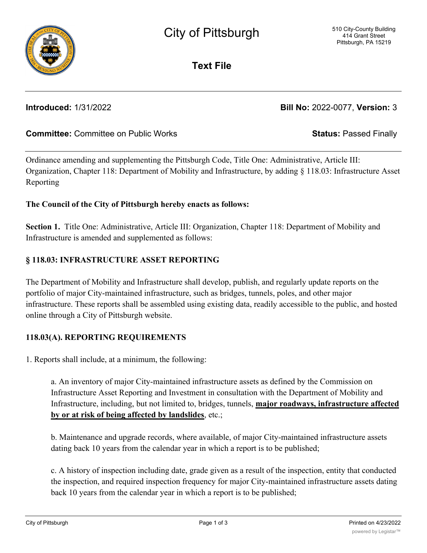Ordinance amending and supplementing the Pittsburgh Code, Title One: Administrative, Article III: Organization, Chapter 118: Department of Mobility and Infrastructure, by adding § 118.03: Infrastructure Asset Reporting

# **The Council of the City of Pittsburgh hereby enacts as follows:**

**Section 1.** Title One: Administrative, Article III: Organization, Chapter 118: Department of Mobility and Infrastructure is amended and supplemented as follows:

# **§ 118.03: INFRASTRUCTURE ASSET REPORTING**

The Department of Mobility and Infrastructure shall develop, publish, and regularly update reports on the portfolio of major City-maintained infrastructure, such as bridges, tunnels, poles, and other major infrastructure. These reports shall be assembled using existing data, readily accessible to the public, and hosted online through a City of Pittsburgh website.

# **118.03(A). REPORTING REQUIREMENTS**

1. Reports shall include, at a minimum, the following:

a. An inventory of major City-maintained infrastructure assets as defined by the Commission on Infrastructure Asset Reporting and Investment in consultation with the Department of Mobility and Infrastructure, including, but not limited to, bridges, tunnels, **major roadways, infrastructure affected by or at risk of being affected by landslides**, etc.;

b. Maintenance and upgrade records, where available, of major City-maintained infrastructure assets dating back 10 years from the calendar year in which a report is to be published;

c. A history of inspection including date, grade given as a result of the inspection, entity that conducted the inspection, and required inspection frequency for major City-maintained infrastructure assets dating back 10 years from the calendar year in which a report is to be published;

**Committee:** Committee on Public Works **Status:** Passed Finally

**Text File**

**Introduced:** 1/31/2022 **Bill No:** 2022-0077, **Version:** 3

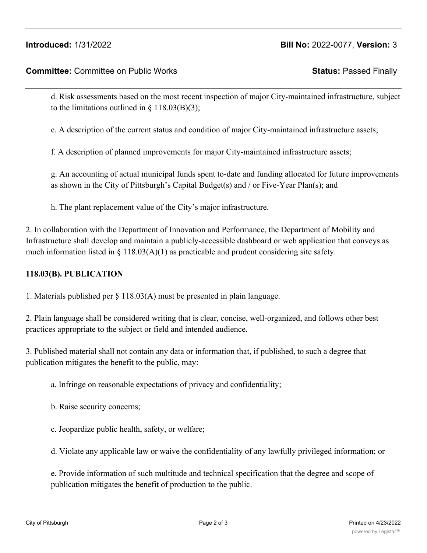## **Introduced:** 1/31/2022 **Bill No:** 2022-0077, **Version:** 3

### **Committee:** Committee on Public Works **Status:** Passed Finally

d. Risk assessments based on the most recent inspection of major City-maintained infrastructure, subject to the limitations outlined in  $\S$  118.03(B)(3);

e. A description of the current status and condition of major City-maintained infrastructure assets;

f. A description of planned improvements for major City-maintained infrastructure assets;

g. An accounting of actual municipal funds spent to-date and funding allocated for future improvements as shown in the City of Pittsburgh's Capital Budget(s) and / or Five-Year Plan(s); and

h. The plant replacement value of the City's major infrastructure.

2. In collaboration with the Department of Innovation and Performance, the Department of Mobility and Infrastructure shall develop and maintain a publicly-accessible dashboard or web application that conveys as much information listed in  $\S 118.03(A)(1)$  as practicable and prudent considering site safety.

#### **118.03(B). PUBLICATION**

1. Materials published per § 118.03(A) must be presented in plain language.

2. Plain language shall be considered writing that is clear, concise, well-organized, and follows other best practices appropriate to the subject or field and intended audience.

3. Published material shall not contain any data or information that, if published, to such a degree that publication mitigates the benefit to the public, may:

- a. Infringe on reasonable expectations of privacy and confidentiality;
- b. Raise security concerns;
- c. Jeopardize public health, safety, or welfare;

d. Violate any applicable law or waive the confidentiality of any lawfully privileged information; or

e. Provide information of such multitude and technical specification that the degree and scope of publication mitigates the benefit of production to the public.